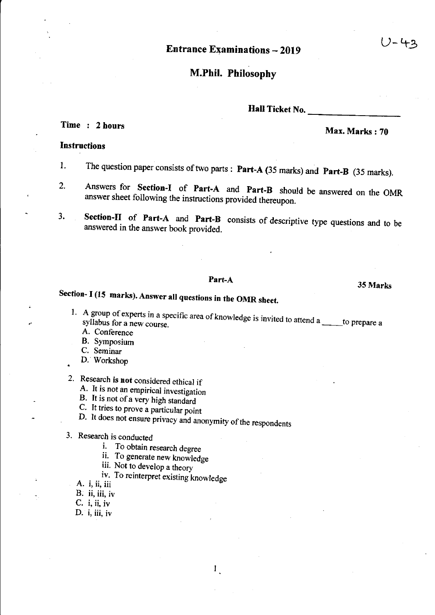Entrance Examinations - 2019

## M.Phil. Philosophy

Hall Ticket No.

# Time : 2 hours Max. Marks: 70

## Instructions

- 1. The question paper consists of two parts: Part-A (35 marks) and Part-B (35 marks).
- 2. Answers for Section-I of Part-A and Part-B should be answered on the OMR answer sheet following the instructions provided thereupon.
- 3. Section-II of Part-A and Part-B consists of descriptive type questions and to be answered in the answer book provided.

Part-A 35 Marks Section- I (15 marks). Answer all questions in tbe OMR sbeet.

- 1. A group of experts in a specific area of knowledge is invited to attend a  $\_\_\_\_$ to prepare a
	- A. Conference
	- B. Symposium
	- C. Seminar
	- D. Workshop

2. Research is not considered ethical if

A. It is not an empirical investigation

- B. It is not of a very high standard
- C. It tries to prove a particular point
- D. It does not ensure privacy and anonymity of the respondents

1

3. Research is conducted

i. To obtain research degree

ii. To generate new knowledge

iii. Not to develop a theory

iv. To reinterpret existing knowledge A. i, ii, iii

B. ii, iii, iv

 $C.$  i, ii, iv

D.  $i$ , iii, iv

J-42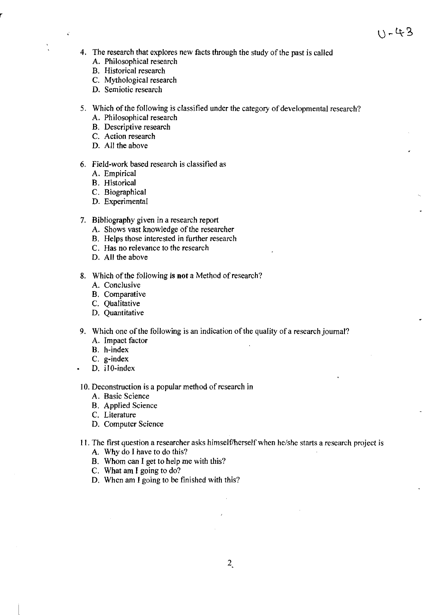- 4. The research that explores new facts through the study of the past is called
	- A. Philosophical research
	- B. Historical research

 $\ddot{\phantom{0}}$ 

- C. Mythological research
- D. Semiotic research
- 5. Which of the following is classified under the category of developmental research?
	- A. Philosophical research
	- B. Descriptive research
	- C. Action research
	- D. All the above

## 6. Field-work based research is classified as

- A. Empirical
- B. Historical
- C. Biographical
- D. Experimental
- 7. Bibliography given in a research report
	- A. Shows vast knowledge of the researcher
	- B. Helps those interested in further research
	- C. Has no relevance to the research
	- D. All the above
- 8. Which of the following is **not** a Method of research?
	- A. Conclusive
	- B. Comparative
	- C. Qualitative
	- D. Quantitative
- 9. Which one of the following is an indication of the quality of a research journal?
	- A. Impact factor
	- B. h-index
	- C. g-index
	- D. iIO-index
- 10. Deconstruction is a popular method of research in
	- A. Basic Science
	- B. Applied Science
	- C. Literature
	- D. Computer Science
- 11. The first question a researcher asks himself/herself when he/she starts a research project is
	- A. Why do I have to do this?
	- B. Whom can I get to help me with this?
	- C. What am I going to do?
	- D. When am I going to be finished with this?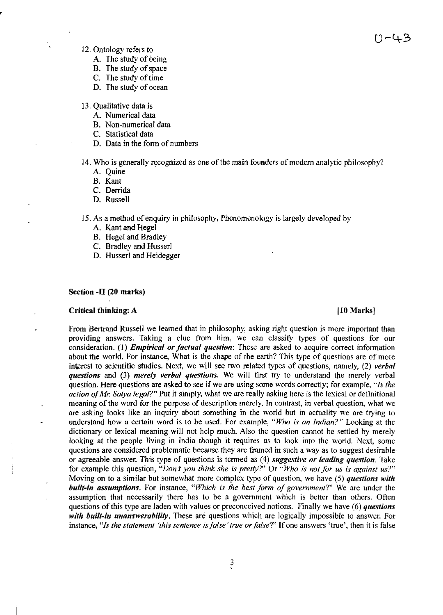いー4ろ

- 12. Ontology refers to
	- A. The study of being
	- B. The study of space
	- C. The study of time
	- D. The study of ocean
- 13. Qualitative data is
	- A. Numerical data
	- B. Non-numerical data
	- C. Statistical data
	- D. Data in the form of numbers
- 14. Who is generally recognized as one of the main founders of modern analytic philosophy?
	- A. Quine
	- B. Kant
	- C. Derrida
	- D. Russell
- 15. As a method of enquiry in philosophy, Phenomenology is largely developed by
	- A. Kant and Hegel
	- B. Hegel and Bradley
	- C. Bradley and Husser!
	- D. Husserl and Heidegger

### Section -II (20 marks)

## Critical thinking: A **comparison** control of the control of the control of the control of the control of the control of the control of the control of the control of the control of the control of the control of the control

From Bertrand Russell we learned that in philosophy, asking right question is more important than providing answers. Taking a clue from him, we can classify types of questions for our consideration. (I) *Empirical or factual question:* These are asked to acquire correct information about the world. For instance, What is the shape of the earth? This type of questions are of more interest to scientific studies. Next, we will see two related types of questions, namely, (2) *verbal questions* and (3) *merely verbal questions.* We will first try to understand the merely verbal question. Here questions are asked to see if we are using some words correctly; for example, *"Is the action of Mr. Satya legal?"* Put it simply, what we are really asking here is the lexical or definitional meaning of the word for the purpose of description merely. In contrast, in verbal question, what we are asking looks like an inquiry about something in the world but in actuality we are trying to understand how a certain word is to be used. For example, *"Who is an Indian?"* Looking at the dictionary or lexical meaning will not help much. Also the question cannot be settled by merely looking at the people living in India though it requires us to look into the world. Next, some questions are considered problematic because they are framed in such a way as to suggest desirable or agreeable answer. This type of questions is termed as (4) *suggestive or leading question.* Take for example this question, *"Dont you think she is pretty?"* Or *"Who is not for us is against us?"*  Moving on to a similar but somewhat more complex type of question, we have (5) *questions with built-in assumptions.* For instance, *"Which is the best form of government?"* We are under the assumption that necessarily there has to be a government which is better than others. Often questions of this type are laden with values or preconceived notions. Finally we have (6) *questions with built-in unanswerability.* These are questions which are logically impossible to answer. For instance, *"Is the statement 'this sentence is false' true or false?"* If one answers 'true', then it is false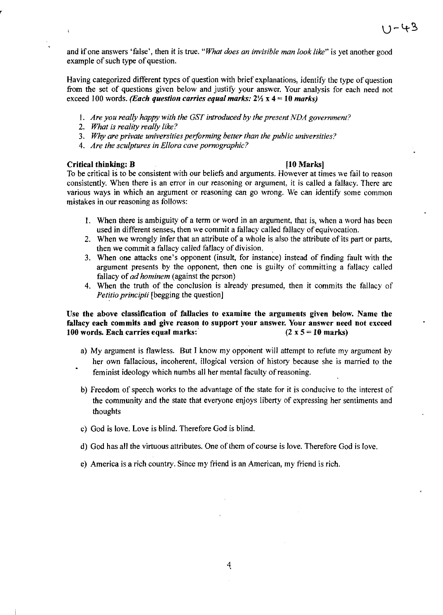and if one answers 'false', then it is true. *"What does an invisible man look like"* is yet another good example of such type of question.

Having categorized different types of question with brief explanations, identity the type of question from the set of questions given below and justity your answer. Your analysis for each need not exceed 100 words. *(Each question carries equal marks: 2Yz* x 4 = 10 *marks)* 

- *I. Are you really happy with the GST introduced by the present NDA government?*
- *2. What* is *reality really like?*
- *3. Why are private universities peiforming better than the public universities?*
- *4. Are the sculptures in Ellora cave pornographic?*

## Critical thinking: B **Example 2018 ID** Marks **I**

 $\bar{\rm y}$ 

To be critical is to be consistent with our beliefs and arguments. However at times we fail to reason consistently. When there is an error in our reasoning or argument, it is called a fallacy. There are various ways in which an argument or reasoning can go wrong. We can identify some common mistakes in our reasoning as follows:

- I. When there is ambiguity of a term or word in an argument, that is, when a word has been used in different senses, then we commit a fallacy called fallacy of equivocation.
- 2. When we wrongly infer that an attribute of a whole is also the attribute of its part or parts, then we commit a fallacy called fallacy of division. .
- 3. When one attacks one's opponent (insult, for instance) instead of finding fault with the argument presents by the opponent, then one is guilty of committing a fallacy called fallacy of *ad hominem* (against the person)
- 4. When the truth of the conclusion is already presumed, then it commits the fallacy of *Petitio principii* [begging the question]

## Use the above classification of fallacies to examine the arguments given below. Name the fallacy each commits and give reason to support your answer. Your answer need not exceed 100 words. Each carries equal marks:  $(2 \times 5 = 10 \text{ marks})$

- a) My argument is flawless. But I know my opponent will attempt to refute my argument by her own fallacious, incoherent, illogical version of history because she is married to the feminist ideology which numbs all her mental faculty of reasoning.
- b) Freedom of speech works to the advantage of the state for it is conducive to the interest of the community and the state that everyone enjoys liberty of expressing her sentiments and thoughts
- c) God is love. Love is blind. Therefore God is blind.
- d) God has all the virtuous attributes. One ofthem of course is love. Therefore God is love.
- e) America is a rich country. Since my friend is an American, my friend is rich.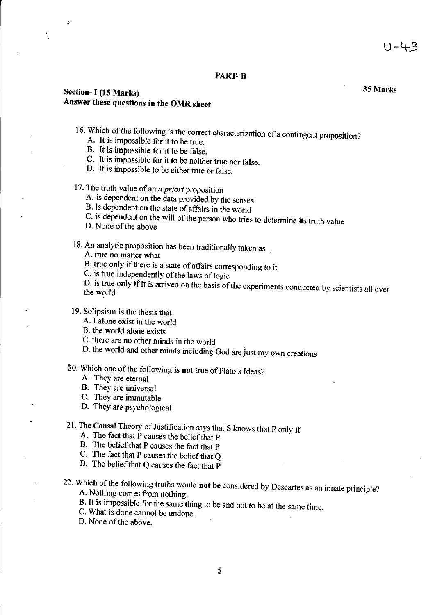## PART-B

## Section- I (15 Marks) 35 Marks Answer these questions in the OMR sheet

- 16. Which of the following is the correct characterization of a contingent proposition?
	- A. It is impossible for it to be true.
	- B. It is impossible for it to be false.
	- C. It is impossible for it to be neither true nor false.
	- D. It is impossible to be either true or false.
- 17. The truth value of an *a priori* proposition
	- A. is dependent on the data provided by the senses
	- B. is dependent on the state of affairs in the world
	- C. is dependent on the will of the person who tries to determine its truth value
	- D. None of the above

18. An analytic proposition has been traditionally taken as

- A. true no matter what
- B. true only if there is a state of affairs corresponding to it
- C. is true independently of the laws of logic

D. is true only if it is arrived on the basis of the experiments conducted by scientists all over the world

## 19. Solipsism is the thesis that

- A. I alone exist in the world
- B. the world alone exists
- C. there are no other minds in the world
- D. the world and other minds including God are just my own creations

## 20. Which one of the following is not true of Plato's Ideas?

- A. They are eternal
- B. They are universal
- C. They are immutable
- D. They are psychological
- 21. The Causal Theory of Justification says that S knows that P only if
	- A. The fact that P causes the belief that P
	- B. The belief that P causes the fact that P
	- C. The fact that P causes the belief that  $Q$ .
	- D. The belief that Q causes the fact that P

# 22. Which of the following truths would not be considered by Descartes as an innate principle?

- A. Nothing comes from nothing.
- B. It is impossible for the same thing to be and not to be at the same time.
- C. What is done cannot be undone.
- D. None of the above.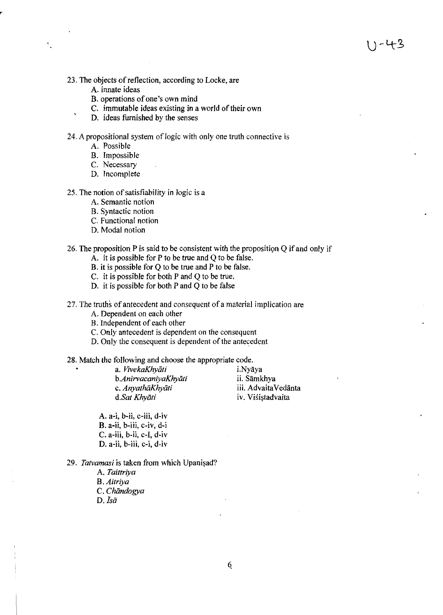- 23. The objects of reflection, according to Locke, are
	- A. innate ideas
	- B. operations of one's own mind
	- C. immutable ideas existing in a world of their own
	- D. ideas furnished by the senses

24. A propositional system of logic with only one truth connective is

- A. Possible
- B. Impossible
- C. Necessary
- D. Incomplete

## 25. The notion of satisfiability in logic is a

- A. Semantic notion
- B. Syntactic notion
- C. Functional notion
- D. Modal notion

## 26. The proposition P is said to be consistent with the proposition Q if and only if

- A. it is possible for P to be true and Q to be false.
- B. it is possible for Q to be true and P to be false.
- C. it is possible for both P and Q to be true.
- D. it is possible for both P and Q to be false

27. The truths of antecedent and consequent of a material implication are

- A. Dependent on each other
- B. Independent of each other
- C. Only antecedent is dependent on the consequent
- D. Only the consequent is dependent of the antecedent

## 28. Match the following and choose the appropriate code.

| i.Nyāya             |
|---------------------|
| ii. Sāmkhya         |
| iii. AdvaitaVedānta |
| iv. Visistadvaita   |
|                     |

A. a-i, b-ii, c-iii, d-iv B. a-ii, b-iii, c-iv, d-i  $C. a$ -iii,  $b$ -ii,  $c$ -I,  $d$ -iv D. a-ii, b-iii, c-i, d-iv

29. Tatvamasi is taken from which Upanisad?

A. *Taittriya*  B. *Aitriya*  C. *Chiindogya*  D.  $\bar{I} s \bar{a}$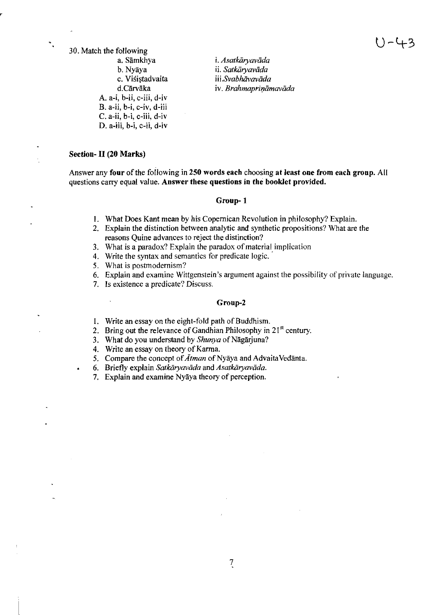30. Match the following a. Sāmkhya b. Nyaya c. Viśistadvaita d.Carvaka A. a-i, b-ii, c-iii, d-iv B. a-ii, b-i, c-iv, d-iii C. a-ii, b-i, c-iii, d-iv D. a-iii, b-i, c-ii, d-iv

i. *Asatkaryavada* ii. Satkāryavāda *iii.Svabhavaviida*  iv. *Brahmaprināmavāda* 

## Section- II (20 Marks)

 $\ddot{\phantom{a}}$ 

Answer any four of the following in 250 words each choosing at least one from each group. All questions carry equal value. Answer these questions in the booklet provided.

### Group-l

- I. What Does Kant mean by his Copernican Revolution in philosophy? Explain.
- 2. Explain the distinction between analytic and synthetic propositions? What are the reasons Quine advances to reject the distinction?
- 3. What is a paradox? Explain the paradox of material implication
- 4. Write the syntax and semantics for predicate logic.
- 5. What is postmodernism?
- 6. Explain and examine Wittgenstein's argument against the possibility of private language.
- 7. Is existence a predicate? Discuss.

### Group-2

- I. Write an essay on the eight-fold path of Buddhism.
- 2. Bring out the relevance of Gandhian Philosophy in  $21<sup>st</sup>$  century.

3. What do you understand by *Shunya* of Nāgārjuna?

- 4. Write an essay on theory of Karma.
- 5. Compare the concept of *Alman* of Nyaya and Advaita Vedanta.
- 6. Briefly explain *Salkiiryavada* and *Asatkiiryavada.*
- 7. Explain and examine Nyaya theory of perception.